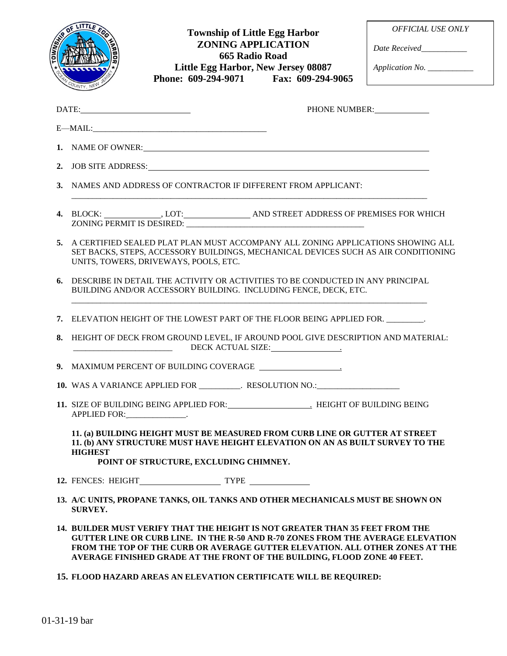

## **Township of Little Egg Harbor ZONING APPLICATION 665 Radio Road Little Egg Harbor, New Jersey 08087 Phone: 609-294-9071 Fax: 609-294-9065**

*OFFICIAL USE ONLY*

*Date Received\_\_\_\_\_\_\_\_\_\_\_*

*Application No. \_\_\_\_\_\_\_\_\_\_\_*

|    | $\text{DATE:}\qquad \qquad \overbrace{\qquad \qquad }$<br>PHONE NUMBER:                                                                                                                                                                                                                                                            |
|----|------------------------------------------------------------------------------------------------------------------------------------------------------------------------------------------------------------------------------------------------------------------------------------------------------------------------------------|
|    |                                                                                                                                                                                                                                                                                                                                    |
|    | 1. NAME OF OWNER:                                                                                                                                                                                                                                                                                                                  |
|    | 2. JOB SITE ADDRESS: North American Section 1988.                                                                                                                                                                                                                                                                                  |
| 3. | NAMES AND ADDRESS OF CONTRACTOR IF DIFFERENT FROM APPLICANT:                                                                                                                                                                                                                                                                       |
|    | 4. BLOCK: LOT: AND STREET ADDRESS OF PREMISES FOR WHICH                                                                                                                                                                                                                                                                            |
| 5. | A CERTIFIED SEALED PLAT PLAN MUST ACCOMPANY ALL ZONING APPLICATIONS SHOWING ALL<br>SET BACKS, STEPS, ACCESSORY BUILDINGS, MECHANICAL DEVICES SUCH AS AIR CONDITIONING<br>UNITS, TOWERS, DRIVEWAYS, POOLS, ETC.                                                                                                                     |
| 6. | DESCRIBE IN DETAIL THE ACTIVITY OR ACTIVITIES TO BE CONDUCTED IN ANY PRINCIPAL<br>BUILDING AND/OR ACCESSORY BUILDING. INCLUDING FENCE, DECK, ETC.                                                                                                                                                                                  |
|    | 7. ELEVATION HEIGHT OF THE LOWEST PART OF THE FLOOR BEING APPLIED FOR.                                                                                                                                                                                                                                                             |
| 8. | HEIGHT OF DECK FROM GROUND LEVEL, IF AROUND POOL GIVE DESCRIPTION AND MATERIAL:<br>DECK ACTUAL SIZE:                                                                                                                                                                                                                               |
|    |                                                                                                                                                                                                                                                                                                                                    |
|    | 10. WAS A VARIANCE APPLIED FOR __________. RESOLUTION NO.: _____________________                                                                                                                                                                                                                                                   |
|    | 11. SIZE OF BUILDING BEING APPLIED FOR: HEIGHT OF BUILDING BEING<br>APPLIED FOR: _______________.                                                                                                                                                                                                                                  |
|    | 11. (a) BUILDING HEIGHT MUST BE MEASURED FROM CURB LINE OR GUTTER AT STREET<br>11. (b) ANY STRUCTURE MUST HAVE HEIGHT ELEVATION ON AN AS BUILT SURVEY TO THE<br><b>HIGHEST</b><br>POINT OF STRUCTURE, EXCLUDING CHIMNEY.                                                                                                           |
|    |                                                                                                                                                                                                                                                                                                                                    |
|    | 13. A/C UNITS, PROPANE TANKS, OIL TANKS AND OTHER MECHANICALS MUST BE SHOWN ON<br><b>SURVEY.</b>                                                                                                                                                                                                                                   |
|    | 14. BUILDER MUST VERIFY THAT THE HEIGHT IS NOT GREATER THAN 35 FEET FROM THE<br><b>GUTTER LINE OR CURB LINE. IN THE R-50 AND R-70 ZONES FROM THE AVERAGE ELEVATION</b><br>FROM THE TOP OF THE CURB OR AVERAGE GUTTER ELEVATION. ALL OTHER ZONES AT THE<br>AVERAGE FINISHED GRADE AT THE FRONT OF THE BUILDING, FLOOD ZONE 40 FEET. |
|    | 15. FLOOD HAZARD AREAS AN ELEVATION CERTIFICATE WILL BE REQUIRED:                                                                                                                                                                                                                                                                  |